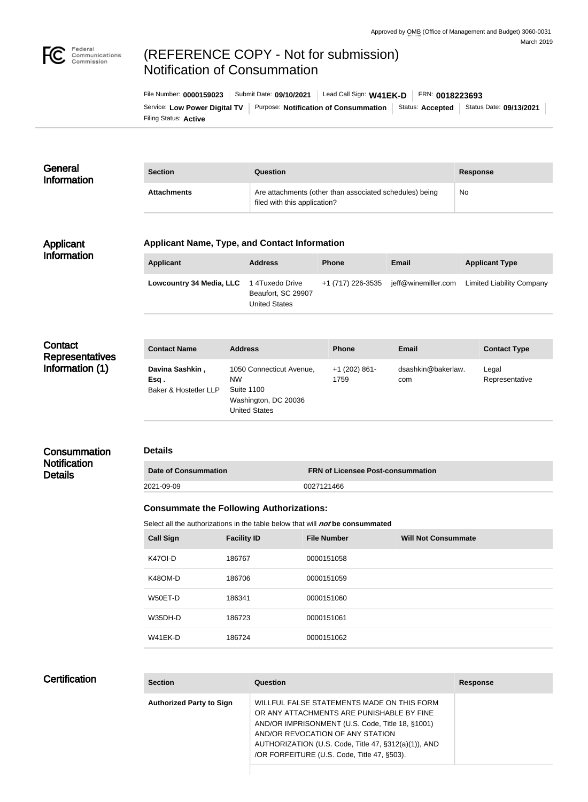

# (REFERENCE COPY - Not for submission) Notification of Consummation

Filing Status: **Active** Service: Low Power Digital TV | Purpose: Notification of Consummation | Status: Accepted | Status Date: 09/13/2021 File Number: **0000159023** Submit Date: **09/10/2021** Lead Call Sign: **W41EK-D** FRN: **0018223693**

| General<br><b>Information</b> | <b>Section</b>     | Question                                                                                | <b>Response</b> |
|-------------------------------|--------------------|-----------------------------------------------------------------------------------------|-----------------|
|                               | <b>Attachments</b> | Are attachments (other than associated schedules) being<br>filed with this application? | No              |

#### Applicant Information

#### **Applicant Name, Type, and Contact Information**

| Applicant                | <b>Address</b>                                                | <b>Phone</b>      | Email               | <b>Applicant Type</b>            |
|--------------------------|---------------------------------------------------------------|-------------------|---------------------|----------------------------------|
| Lowcountry 34 Media, LLC | 1 4Tuxedo Drive<br>Beaufort, SC 29907<br><b>United States</b> | +1 (717) 226-3535 | jeff@winemiller.com | <b>Limited Liability Company</b> |

**Contact Representatives** Information (1)

| <b>Contact Name</b>                              | <b>Address</b>                                                                                      | <b>Phone</b>            | Email                     | <b>Contact Type</b>     |
|--------------------------------------------------|-----------------------------------------------------------------------------------------------------|-------------------------|---------------------------|-------------------------|
| Davina Sashkin,<br>Esq.<br>Baker & Hostetler LLP | 1050 Connecticut Avenue,<br><b>NW</b><br>Suite 1100<br>Washington, DC 20036<br><b>United States</b> | $+1$ (202) 861-<br>1759 | dsashkin@bakerlaw.<br>com | Legal<br>Representative |

### **Consummation Notification Details**

#### **Details**

| <b>Date of Consummation</b> Ⅰ | <b>FRN of Licensee Post-consummation</b> |
|-------------------------------|------------------------------------------|
| 2021-09-09                    | 0027121466                               |

#### **Consummate the Following Authorizations:**

Select all the authorizations in the table below that will *not* be consummated

| <b>Call Sign</b> | <b>Facility ID</b> | <b>File Number</b> | <b>Will Not Consummate</b> |
|------------------|--------------------|--------------------|----------------------------|
| <b>K47OI-D</b>   | 186767             | 0000151058         |                            |
| K48OM-D          | 186706             | 0000151059         |                            |
| W50ET-D          | 186341             | 0000151060         |                            |
| W35DH-D          | 186723             | 0000151061         |                            |
| W41EK-D          | 186724             | 0000151062         |                            |

## **Certification**

| <b>Section</b>                  | Question                                                                                                                                                                                                                                                                               | <b>Response</b> |
|---------------------------------|----------------------------------------------------------------------------------------------------------------------------------------------------------------------------------------------------------------------------------------------------------------------------------------|-----------------|
| <b>Authorized Party to Sign</b> | WILLFUL FALSE STATEMENTS MADE ON THIS FORM<br>OR ANY ATTACHMENTS ARE PUNISHABLE BY FINE<br>AND/OR IMPRISONMENT (U.S. Code, Title 18, §1001)<br>AND/OR REVOCATION OF ANY STATION<br>AUTHORIZATION (U.S. Code, Title 47, §312(a)(1)), AND<br>/OR FORFEITURE (U.S. Code, Title 47, §503). |                 |